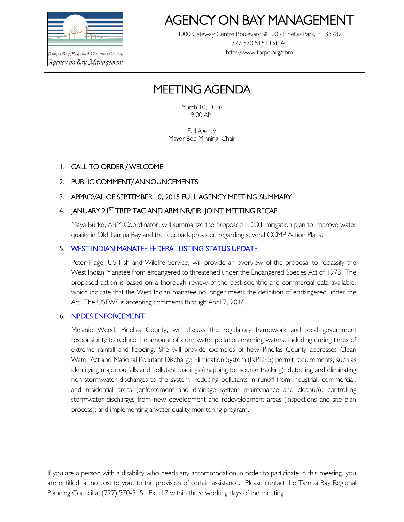

.<br>Tampa Bay Regional Planning Council Agency on Bay Management

# AGENCY ON BAY MANAGEMEI

4000 Gateway Centre Boulevard #100 Pinellas Park, FL 33782 727.570.5151 Ext. 40 http://www.tbrpc.org/abm

## MEETING AGENDA

March 10, 2016 9:00 AM

Full Agency Mayor Bob Minning, Chair

## 1. CALL TO ORDER / WELCOME

## 2. PUBLIC COMMENT/ ANNOUNCEMENTS

### 3. APPROVAL OF SEPTEMBER 10, 2015 FULL AGENCY MEETING SUMMARY

### 4. JANUARY 21<sup>st</sup> TBEP TAC AND ABM NR/EIR JOINT MEETING RECAP

Maya Burke, ABM Coordinator, will summarize the proposed FDOT mitigation plan to improve water quality in Old Tampa Bay and the feedback provided regarding several CCMP Action Plans.

#### 5. [WEST INDIAN MANATEE FEDERAL LISTING STATUS UPDATE](http://www.regulations.gov/#!docketDetail;D=FWS-R4-ES-2015-0178)

Peter Plage, US Fish and Wildlife Service, will provide an overview of the proposal to reclassify the West Indian Manatee from endangered to threatened under the Endangered Species Act of 1973. The proposed action is based on a thorough review of the best scientific and commercial data available, which indicate that the West Indian manatee no longer meets the definition of endangered under the Act. The USFWS is accepting comments through April 7, 2016.

#### 6. [NPDES ENFORCEMENT](http://www.pinellascounty.org/environment/watershed/regulatory.htm)

Melanie Weed, Pinellas County, will discuss the regulatory framework and local government responsibility to reduce the amount of stormwater pollution entering waters, including during times of extreme rainfall and flooding. She will provide examples of how Pinellas County addresses Clean Water Act and National Pollutant Discharge Elimination System (NPDES) permit requirements, such as identifying major outfalls and pollutant loadings (mapping for source tracking); detecting and eliminating non-stormwater discharges to the system; reducing pollutants in runoff from industrial, commercial, and residential areas (enforcement and drainage system maintenance and cleanup); controlling stormwater discharges from new development and redevelopment areas (inspections and site plan process); and implementing a water quality monitoring program.

If you are a person with a disability who needs any accommodation in order to participate in this meeting, you are entitled, at no cost to you, to the provision of certain assistance. Please contact the Tampa Bay Regional Planning Council at (727) 570-5151 Ext. 17 within three working days of the meeting.